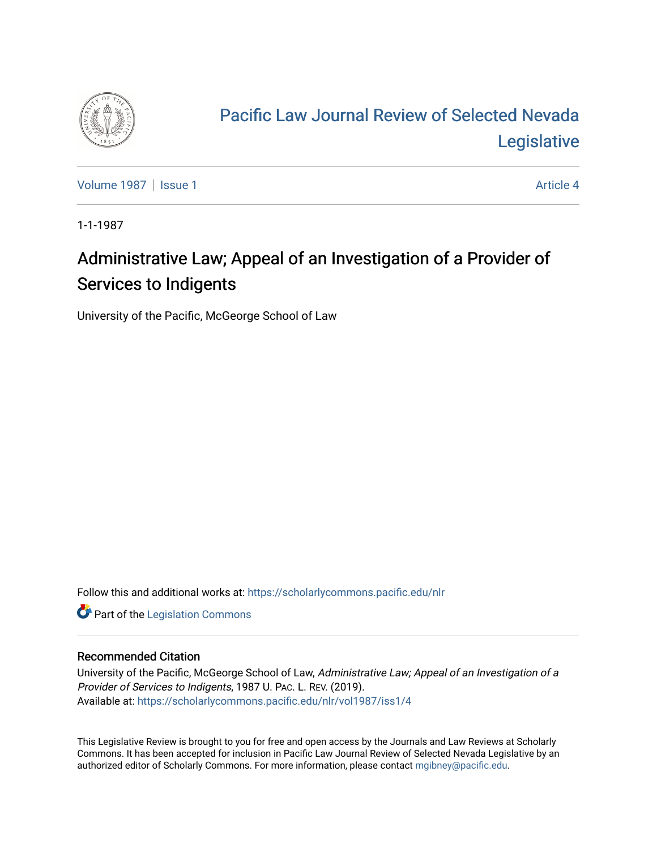

# [Pacific Law Journal Review of Selected Nevada](https://scholarlycommons.pacific.edu/nlr)  [Legislative](https://scholarlycommons.pacific.edu/nlr)

[Volume 1987](https://scholarlycommons.pacific.edu/nlr/vol1987) | [Issue 1](https://scholarlycommons.pacific.edu/nlr/vol1987/iss1) Article 4

1-1-1987

## Administrative Law; Appeal of an Investigation of a Provider of Services to Indigents

University of the Pacific, McGeorge School of Law

Follow this and additional works at: [https://scholarlycommons.pacific.edu/nlr](https://scholarlycommons.pacific.edu/nlr?utm_source=scholarlycommons.pacific.edu%2Fnlr%2Fvol1987%2Fiss1%2F4&utm_medium=PDF&utm_campaign=PDFCoverPages) 

**Part of the [Legislation Commons](http://network.bepress.com/hgg/discipline/859?utm_source=scholarlycommons.pacific.edu%2Fnlr%2Fvol1987%2Fiss1%2F4&utm_medium=PDF&utm_campaign=PDFCoverPages)** 

#### Recommended Citation

University of the Pacific, McGeorge School of Law, Administrative Law; Appeal of an Investigation of a Provider of Services to Indigents, 1987 U. PAC. L. REV. (2019). Available at: [https://scholarlycommons.pacific.edu/nlr/vol1987/iss1/4](https://scholarlycommons.pacific.edu/nlr/vol1987/iss1/4?utm_source=scholarlycommons.pacific.edu%2Fnlr%2Fvol1987%2Fiss1%2F4&utm_medium=PDF&utm_campaign=PDFCoverPages) 

This Legislative Review is brought to you for free and open access by the Journals and Law Reviews at Scholarly Commons. It has been accepted for inclusion in Pacific Law Journal Review of Selected Nevada Legislative by an authorized editor of Scholarly Commons. For more information, please contact [mgibney@pacific.edu](mailto:mgibney@pacific.edu).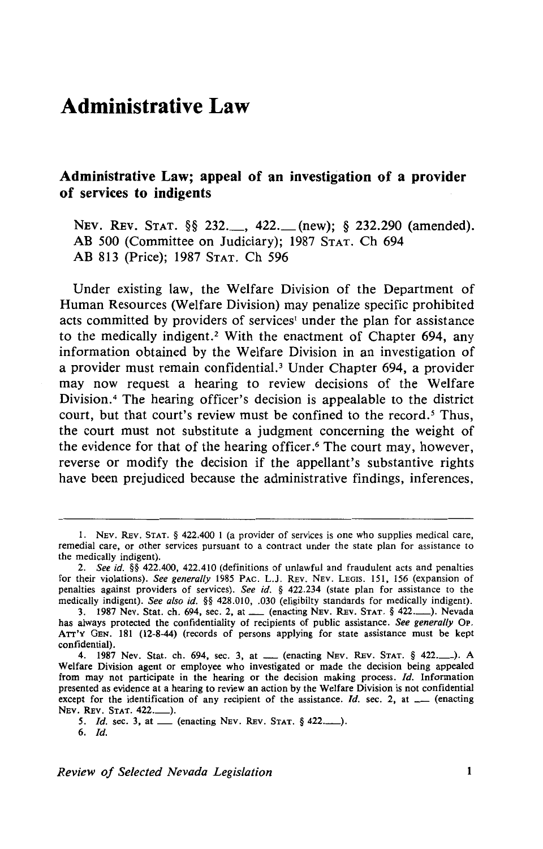### **Administrative Law**

#### **Administrative Law; appeal of an investigation of a provider of services to indigents**

NEV. REV. STAT. §§ 232.\_\_, 422.\_\_(new); § 232.290 (amended). AB 500 (Committee on Judiciary); 1987 STAT. Ch 694 AB 813 (Price); 1987 STAT. Ch 596

Under existing law, the Welfare Division of the Department of Human Resources (Welfare Division) may penalize specific prohibited acts committed by providers of services<sup>1</sup> under the plan for assistance to the medically indigent.<sup>2</sup> With the enactment of Chapter 694, any information obtained by the Welfare Division in an investigation of a provider must remain confidential.<sup>3</sup> Under Chapter 694, a provider may now request a hearing to review decisions of the Welfare Division. 4 The hearing officer's decision is appealable to the district court, but that court's review must be confined to the record.<sup>5</sup> Thus, the court must not substitute a judgment concerning the weight of the evidence for that of the hearing officer. 6 The court may, however, reverse or modify the decision if the appellant's substantive rights have been prejudiced because the administrative findings, inferences,

I. NEv. REv. STAT. § 422.400 I (a provider of services is one who supplies medical care, remedial care, or other services pursuant to a contract under the state plan for assistance to the medically indigent).

<sup>2.</sup> *See id.* §§ 422.400, 422.410 (definitions of unlawful and fraudulent acts and penalties for their violations). *See generally* !985 PAC. L.J. REv. NEv. LEGIS. 151, 156 (expansion of penalties against providers of services). *See id.* § 422.234 (state plan for assistance to the medically indigent). *See also id.* §§ 428.010, .030 (eligibilty standards for medically indigent).

<sup>3. 1987</sup> Nev. Stat. ch. 694, sec. 2, at \_\_ (enacting NEv. REv. STAT. § 422..........). Nevada has always protected the confidentiality of recipients of public assistance. *See generally* OP. ATT'Y GEN. 181 (12-8-44) (records of persons applying for state assistance must be kept confidential).

<sup>4. 1987</sup> Nev. Stat. ch. 694, sec. 3, at \_\_ (enacting NEV. REV. STAT. § 422..........). A Welfare Division agent or employee who investigated or made the decision being appealed from may not participate in the hearing or the decision making process. */d.* Information presented as evidence at a hearing to review an action by the Welfare Division is not confidential except for the identification of any recipient of the assistance. *Id.* sec. 2, at \_\_\_ (enacting NEV. REv. STAT. 422.\_).

*<sup>5. !</sup>d.* sec. 3, at \_ (enacting NEv. REv. STAT. § 422.\_). 6. /d.